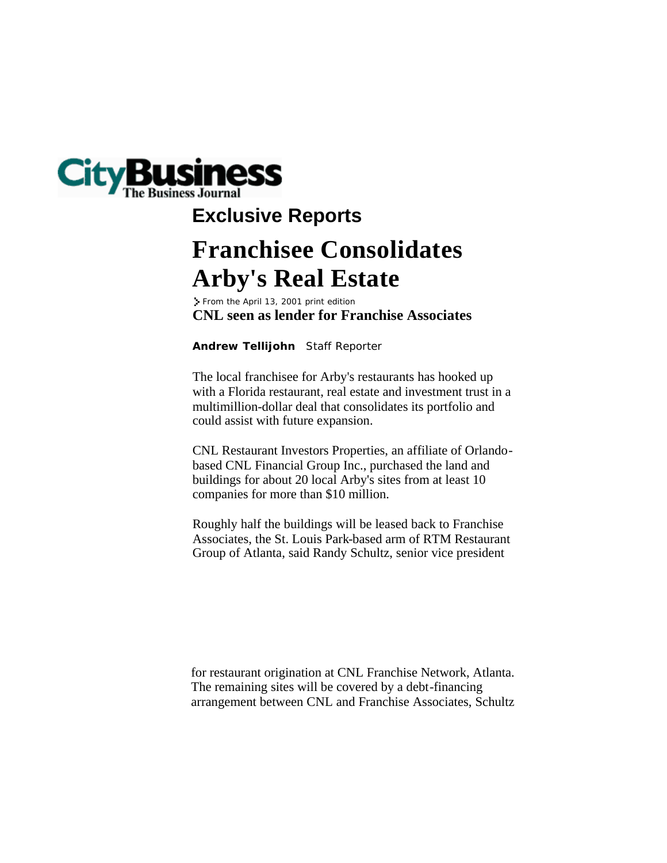

## **Franchisee Consolidates Arby's Real Estate Exclusive Reports**

**CNL seen as lender for Franchise Associates** From the April 13, 2001 print edition

**Andrew Tellijohn** Staff Reporter

The local franchisee for Arby's restaurants has hooked up with a Florida restaurant, real estate and investment trust in a multimillion-dollar deal that consolidates its portfolio and could assist with future expansion.

CNL Restaurant Investors Properties, an affiliate of Orlandobased CNL Financial Group Inc., purchased the land and buildings for about 20 local Arby's sites from at least 10 companies for more than \$10 million.

Roughly half the buildings will be leased back to Franchise Associates, the St. Louis Park-based arm of RTM Restaurant Group of Atlanta, said Randy Schultz, senior vice president

for restaurant origination at CNL Franchise Network, Atlanta. The remaining sites will be covered by a debt-financing arrangement between CNL and Franchise Associates, Schultz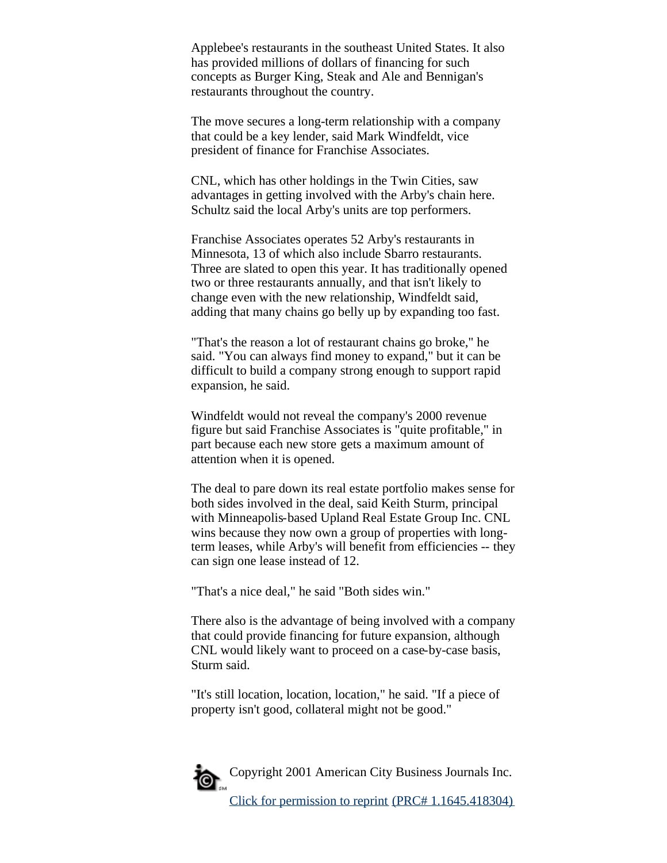Applebee's restaurants in the southeast United States. It also has provided millions of dollars of financing for such concepts as Burger King, Steak and Ale and Bennigan's restaurants throughout the country.

The move secures a long-term relationship with a company that could be a key lender, said Mark Windfeldt, vice president of finance for Franchise Associates.

CNL, which has other holdings in the Twin Cities, saw advantages in getting involved with the Arby's chain here. Schultz said the local Arby's units are top performers.

Franchise Associates operates 52 Arby's restaurants in Minnesota, 13 of which also include Sbarro restaurants. Three are slated to open this year. It has traditionally opened two or three restaurants annually, and that isn't likely to change even with the new relationship, Windfeldt said, adding that many chains go belly up by expanding too fast.

"That's the reason a lot of restaurant chains go broke," he said. "You can always find money to expand," but it can be difficult to build a company strong enough to support rapid expansion, he said.

Windfeldt would not reveal the company's 2000 revenue figure but said Franchise Associates is "quite profitable," in part because each new store gets a maximum amount of attention when it is opened.

The deal to pare down its real estate portfolio makes sense for both sides involved in the deal, said Keith Sturm, principal with Minneapolis-based Upland Real Estate Group Inc. CNL wins because they now own a group of properties with longterm leases, while Arby's will benefit from efficiencies -- they can sign one lease instead of 12.

"That's a nice deal," he said "Both sides win."

There also is the advantage of being involved with a company that could provide financing for future expansion, although CNL would likely want to proceed on a case-by-case basis, Sturm said.

"It's still location, location, location," he said. "If a piece of property isn't good, collateral might not be good."



Copyright 2001 American City Business Journals Inc.

Click for permission to reprint (PRC# 1.1645.418304)